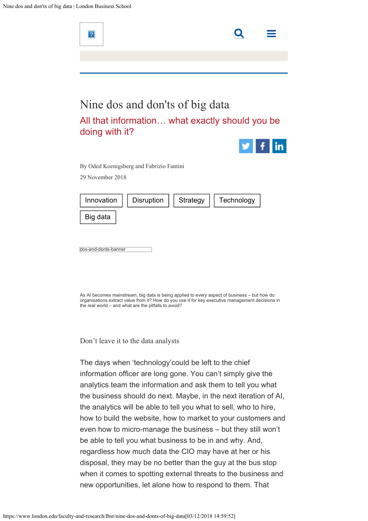

the business should do next. Maybe, in the next iteration of AI, the analytics will be able to tell you what to sell, who to hire, how to build the website, how to market to your customers and even how to micro-manage the business – but they still won't be able to tell you what business to be in and why. And, regardless how much data the CIO may have at her or his disposal, they may be no better than the guy at the bus stop when it comes to spotting external threats to the business and new opportunities, let alone how to respond to them. That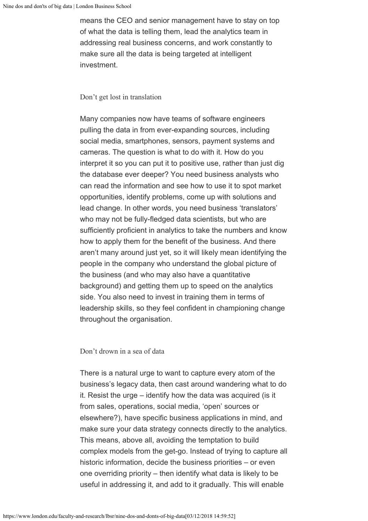means the CEO and senior management have to stay on top of what the data is telling them, lead the analytics team in addressing real business concerns, and work constantly to make sure all the data is being targeted at intelligent investment.

## Don't get lost in translation

Many companies now have teams of software engineers pulling the data in from ever-expanding sources, including social media, smartphones, sensors, payment systems and cameras. The question is what to do with it. How do you interpret it so you can put it to positive use, rather than just dig the database ever deeper? You need business analysts who can read the information and see how to use it to spot market opportunities, identify problems, come up with solutions and lead change. In other words, you need business 'translators' who may not be fully-fledged data scientists, but who are sufficiently proficient in analytics to take the numbers and know how to apply them for the benefit of the business. And there aren't many around just yet, so it will likely mean identifying the people in the company who understand the global picture of the business (and who may also have a quantitative background) and getting them up to speed on the analytics side. You also need to invest in training them in terms of leadership skills, so they feel confident in championing change throughout the organisation.

## Don't drown in a sea of data

There is a natural urge to want to capture every atom of the business's legacy data, then cast around wandering what to do it. Resist the urge – identify how the data was acquired (is it from sales, operations, social media, 'open' sources or elsewhere?), have specific business applications in mind, and make sure your data strategy connects directly to the analytics. This means, above all, avoiding the temptation to build complex models from the get-go. Instead of trying to capture all historic information, decide the business priorities – or even one overriding priority – then identify what data is likely to be useful in addressing it, and add to it gradually. This will enable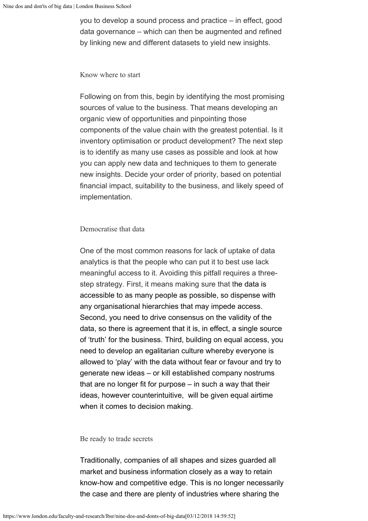you to develop a sound process and practice – in effect, good data governance – which can then be augmented and refined by linking new and different datasets to yield new insights.

### Know where to start

Following on from this, begin by identifying the most promising sources of value to the business. That means developing an organic view of opportunities and pinpointing those components of the value chain with the greatest potential. Is it inventory optimisation or product development? The next step is to identify as many use cases as possible and look at how you can apply new data and techniques to them to generate new insights. Decide your order of priority, based on potential financial impact, suitability to the business, and likely speed of implementation.

# Democratise that data

One of the most common reasons for lack of uptake of data analytics is that the people who can put it to best use lack meaningful access to it. Avoiding this pitfall requires a threestep strategy. First, it means making sure that the data is accessible to as many people as possible, so dispense with any organisational hierarchies that may impede access. Second, you need to drive consensus on the validity of the data, so there is agreement that it is, in effect, a single source of 'truth' for the business. Third, building on equal access, you need to develop an egalitarian culture whereby everyone is allowed to 'play' with the data without fear or favour and try to generate new ideas – or kill established company nostrums that are no longer fit for purpose – in such a way that their ideas, however counterintuitive, will be given equal airtime when it comes to decision making.

### Be ready to trade secrets

Traditionally, companies of all shapes and sizes guarded all market and business information closely as a way to retain know-how and competitive edge. This is no longer necessarily the case and there are plenty of industries where sharing the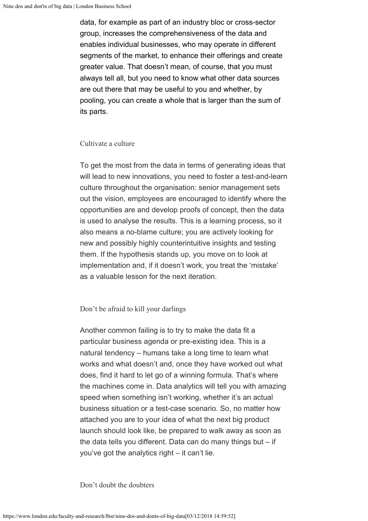data, for example as part of an industry bloc or cross-sector group, increases the comprehensiveness of the data and enables individual businesses, who may operate in different segments of the market, to enhance their offerings and create greater value. That doesn't mean, of course, that you must always tell all, but you need to know what other data sources are out there that may be useful to you and whether, by pooling, you can create a whole that is larger than the sum of its parts.

Cultivate a culture

To get the most from the data in terms of generating ideas that will lead to new innovations, you need to foster a test-and-learn culture throughout the organisation: senior management sets out the vision, employees are encouraged to identify where the opportunities are and develop proofs of concept, then the data is used to analyse the results. This is a learning process, so it also means a no-blame culture; you are actively looking for new and possibly highly counterintuitive insights and testing them. If the hypothesis stands up, you move on to look at implementation and, if it doesn't work, you treat the 'mistake' as a valuable lesson for the next iteration.

Don't be afraid to kill your darlings

Another common failing is to try to make the data fit a particular business agenda or pre-existing idea. This is a natural tendency – humans take a long time to learn what works and what doesn't and, once they have worked out what does, find it hard to let go of a winning formula. That's where the machines come in. Data analytics will tell you with amazing speed when something isn't working, whether it's an actual business situation or a test-case scenario. So, no matter how attached you are to your idea of what the next big product launch should look like, be prepared to walk away as soon as the data tells you different. Data can do many things but – if you've got the analytics right – it can't lie.

Don't doubt the doubters